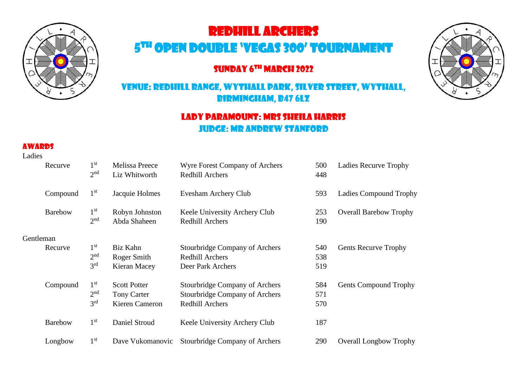

# Redhill Archers

## 5 th Open Double 'Vegas 300' Tournament

## SUNDAY 6<sup>th</sup> MARCH 2022

## Venue: Redhill Range, Wythall Park, Silver Street, Wythall, Birmingham, B47 6LZ

## Lady Paramount: Mrs Sheila Harris Judge: Mr Andrew Stanford

#### **AWADDS**

Ladies

|           | Recurve        | 1 <sup>st</sup><br>2 <sup>nd</sup> | Melissa Preece<br>Liz Whitworth | Wyre Forest Company of Archers<br><b>Redhill Archers</b> | 500<br>448 | <b>Ladies Recurve Trophy</b>  |
|-----------|----------------|------------------------------------|---------------------------------|----------------------------------------------------------|------------|-------------------------------|
|           | Compound       | 1 <sup>st</sup>                    | Jacquie Holmes                  | Evesham Archery Club                                     | 593        | <b>Ladies Compound Trophy</b> |
|           | <b>Barebow</b> | 1 <sup>st</sup><br>2 <sup>nd</sup> | Robyn Johnston<br>Abda Shaheen  | Keele University Archery Club<br><b>Redhill Archers</b>  | 253<br>190 | <b>Overall Barebow Trophy</b> |
| Gentleman |                |                                    |                                 |                                                          |            |                               |
|           | Recurve        | 1 <sup>st</sup>                    | Biz Kahn                        | <b>Stourbridge Company of Archers</b>                    | 540        | <b>Gents Recurve Trophy</b>   |
|           |                | 2 <sup>nd</sup>                    | Roger Smith                     | <b>Redhill Archers</b>                                   | 538        |                               |
|           |                | 3 <sup>rd</sup>                    | Kieran Macey                    | Deer Park Archers                                        | 519        |                               |
|           | Compound       | 1 <sup>st</sup>                    | <b>Scott Potter</b>             | Stourbridge Company of Archers                           | 584        | <b>Gents Compound Trophy</b>  |
|           |                | 2 <sup>nd</sup>                    | Tony Carter                     | Stourbridge Company of Archers                           | 571        |                               |
|           |                | 3 <sup>rd</sup>                    | Kieren Cameron                  | <b>Redhill Archers</b>                                   | 570        |                               |
|           | <b>Barebow</b> | 1 <sup>st</sup>                    | Daniel Stroud                   | Keele University Archery Club                            | 187        |                               |
|           | Longbow        | 1 <sup>st</sup>                    | Dave Vukomanovic                | Stourbridge Company of Archers                           | 290        | <b>Overall Longbow Trophy</b> |

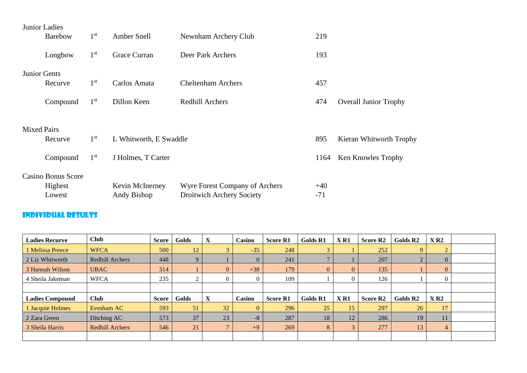|                    | Junior Ladies             |                 |                        |                                  |       |                              |
|--------------------|---------------------------|-----------------|------------------------|----------------------------------|-------|------------------------------|
|                    | <b>Barebow</b>            | 1 <sup>st</sup> | Amber Snell            | Newnham Archery Club             | 219   |                              |
|                    | Longbow                   | 1 <sup>st</sup> | Grace Curran           | Deer Park Archers                | 193   |                              |
|                    | Junior Gents              |                 |                        |                                  |       |                              |
|                    | Recurve                   | 1 <sup>st</sup> | Carlos Amata           | <b>Cheltenham Archers</b>        | 457   |                              |
|                    | Compound                  | 1 <sup>st</sup> | Dillon Keen            | <b>Redhill Archers</b>           | 474   | <b>Overall Junior Trophy</b> |
| <b>Mixed Pairs</b> |                           |                 |                        |                                  |       |                              |
|                    | Recurve                   | 1 <sup>st</sup> | L Whitworth, E Swaddle |                                  | 895   | Kieran Whitworth Trophy      |
|                    | Compound                  | 1 <sup>st</sup> | J Holmes, T Carter     |                                  | 1164  | Ken Knowles Trophy           |
|                    | <b>Casino Bonus Score</b> |                 |                        |                                  |       |                              |
|                    | Highest                   |                 | Kevin McInerney        | Wyre Forest Company of Archers   | $+40$ |                              |
|                    | Lowest                    |                 | Andy Bishop            | <b>Droitwich Archery Society</b> | $-71$ |                              |

### Individual Results

| <b>Ladies Recurve</b>  | <b>Club</b>            | <b>Score</b> | Golds |                         | Casino   | <b>Score R1</b> | <b>Golds R1</b> | X <sub>R1</sub> | Score R <sub>2</sub> | Golds R <sub>2</sub> | X R2           |  |
|------------------------|------------------------|--------------|-------|-------------------------|----------|-----------------|-----------------|-----------------|----------------------|----------------------|----------------|--|
| 1 Melissa Preece       | <b>WFCA</b>            | 500          | 12    | 3                       | $-35$    | 248             |                 |                 | 252                  |                      |                |  |
| 2 Liz Whitworth        | <b>Redhill Archers</b> | 448          | 9     |                         | $\Omega$ | 241             |                 |                 | 207                  |                      | $\overline{0}$ |  |
| 3 Hannah Wilson        | <b>UBAC</b>            | 314          |       | $\overline{0}$          | $+38$    | 179             | $\mathbf{0}$    | $\overline{0}$  | 135                  |                      | $\Omega$       |  |
| 4 Sheila Jakeman       | <b>WFCA</b>            | 235          | ◠     | $\overline{0}$          |          | 109             |                 |                 | 126                  |                      | $\Omega$       |  |
|                        |                        |              |       |                         |          |                 |                 |                 |                      |                      |                |  |
| <b>Ladies Compound</b> | <b>Club</b>            | <b>Score</b> | Golds |                         | Casino   | <b>Score R1</b> | <b>Golds R1</b> | X <sub>R1</sub> | <b>Score R2</b>      | Golds R <sub>2</sub> | X R2           |  |
| 1 Jacquie Holmes       | Evesham AC             | 593          | 51    | 32                      | $\Omega$ | 296             | 25              | 15              | 297                  | 26                   | 17             |  |
| 2 Zara Green           | Ditching AC            | 573          | 37    | 23                      | $-8$     | 287             | 18              | 12 <sup>2</sup> | 286                  | 19                   | 11             |  |
| 3 Sheila Harris        | Redhill Archers        | 546          | 21    | $\overline{\mathbf{r}}$ | $+9$     | 269             | 8               | 3               | 277                  | 13                   | 4              |  |
|                        |                        |              |       |                         |          |                 |                 |                 |                      |                      |                |  |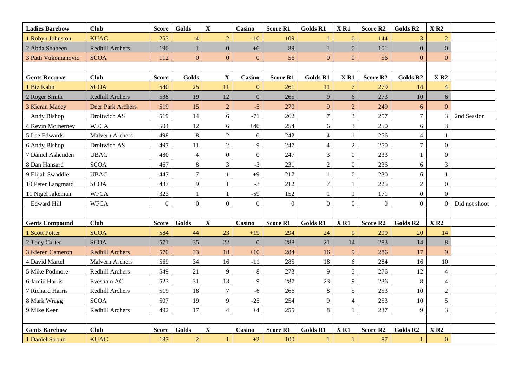| <b>Ladies Barebow</b> | <b>Club</b>            | <b>Score</b>     | Golds          | $\mathbf X$      | Casino           | <b>Score R1</b> | <b>Golds R1</b>  | X <sub>R1</sub>    | <b>Score R2</b>      | Golds R <sub>2</sub> | X R2           |               |
|-----------------------|------------------------|------------------|----------------|------------------|------------------|-----------------|------------------|--------------------|----------------------|----------------------|----------------|---------------|
| 1 Robyn Johnston      | <b>KUAC</b>            | 253              | $\overline{4}$ | $\boldsymbol{2}$ | $-10$            | 109             | $\mathbf{1}$     | $\mathbf{0}$       | 144                  | 3                    | $\overline{2}$ |               |
| 2 Abda Shaheen        | Redhill Archers        | 190              |                | $\mathbf{0}$     | $+6$             | 89              | $\mathbf{1}$     | $\mathbf{0}$       | 101                  | $\overline{0}$       | $\overline{0}$ |               |
| 3 Patti Vukomanovic   | <b>SCOA</b>            | 112              | $\Omega$       | $\boldsymbol{0}$ | $\mathbf{0}$     | 56              | $\boldsymbol{0}$ | $\boldsymbol{0}$   | 56                   | $\overline{0}$       | $\Omega$       |               |
|                       |                        |                  |                |                  |                  |                 |                  |                    |                      |                      |                |               |
| <b>Gents Recurve</b>  | <b>Club</b>            | <b>Score</b>     | Golds          | $\mathbf X$      | <b>Casino</b>    | <b>Score R1</b> | <b>Golds R1</b>  | X <sub>R1</sub>    | <b>Score R2</b>      | Golds R2             | X R2           |               |
| 1 Biz Kahn            | <b>SCOA</b>            | 540              | 25             | 11               | $\mathbf{0}$     | 261             | 11               | $\overline{7}$     | 279                  | 14                   | $\overline{4}$ |               |
| 2 Roger Smith         | Redhill Archers        | 538              | 19             | $12\,$           | $\boldsymbol{0}$ | 265             | 9                | $\boldsymbol{6}$   | 273                  | 10                   | 6              |               |
| 3 Kieran Macey        | Deer Park Archers      | 519              | 15             | $\sqrt{2}$       | $-5$             | 270             | 9                | $\mathbf 2$        | 249                  | $6\overline{6}$      | $\overline{0}$ |               |
| Andy Bishop           | Droitwich AS           | 519              | 14             | 6                | $-71$            | 262             | $\boldsymbol{7}$ | 3                  | 257                  | $\overline{7}$       | $\mathfrak{Z}$ | 2nd Session   |
| 4 Kevin McInerney     | <b>WFCA</b>            | 504              | 12             | $\sqrt{6}$       | $+40$            | 254             | 6                | 3                  | 250                  | 6                    | 3              |               |
| 5 Lee Edwards         | Malvern Archers        | 498              | $8\,$          | $\sqrt{2}$       | $\mathbf{0}$     | 242             | $\overline{4}$   | 1                  | 256                  | $\overline{4}$       | 1              |               |
| 6 Andy Bishop         | Droitwich AS           | 497              | 11             | $\sqrt{2}$       | $-9$             | 247             | $\overline{4}$   | $\overline{c}$     | 250                  | $\overline{7}$       | $\overline{0}$ |               |
| 7 Daniel Ashenden     | <b>UBAC</b>            | 480              | $\overline{4}$ | $\boldsymbol{0}$ | $\overline{0}$   | 247             | 3                | $\boldsymbol{0}$   | 233                  | $\mathbf{1}$         | $\overline{0}$ |               |
| 8 Dan Hansard         | <b>SCOA</b>            | 467              | $8\,$          | $\mathfrak{Z}$   | $-3$             | 231             | $\overline{2}$   | $\boldsymbol{0}$   | 236                  | 6                    | 3              |               |
| 9 Elijah Swaddle      | <b>UBAC</b>            | 447              | $\overline{7}$ | $\mathbf{1}$     | $+9$             | 217             | $\mathbf{1}$     | $\boldsymbol{0}$   | 230                  | 6                    | 1              |               |
| 10 Peter Langmaid     | <b>SCOA</b>            | 437              | 9              | $\mathbf{1}$     | $-3$             | 212             | $\tau$           | 1                  | 225                  | $\overline{2}$       | $\overline{0}$ |               |
| 11 Nigel Jakeman      | <b>WFCA</b>            | 323              |                | $\mathbf{1}$     | $-59$            | 152             | $\mathbf{1}$     | 1                  | 171                  | $\overline{0}$       | $\overline{0}$ |               |
| <b>Edward Hill</b>    | <b>WFCA</b>            | $\boldsymbol{0}$ | $\overline{0}$ | $\mathbf{0}$     | $\mathbf{0}$     | $\overline{0}$  | $\boldsymbol{0}$ | $\boldsymbol{0}$   | $\mathbf{0}$         | $\overline{0}$       | $\overline{0}$ | Did not shoot |
|                       |                        |                  |                |                  |                  |                 |                  |                    |                      |                      |                |               |
| <b>Gents Compound</b> | <b>Club</b>            | <b>Score</b>     | Golds          | $\mathbf X$      | Casino           | <b>Score R1</b> | <b>Golds R1</b>  | $X$ R <sub>1</sub> | Score R <sub>2</sub> | Golds R <sub>2</sub> | X R2           |               |
| 1 Scott Potter        | <b>SCOA</b>            | 584              | 44             | 23               | $+19$            | 294             | 24               | 9                  | 290                  | 20                   | 14             |               |
| 2 Tony Carter         | <b>SCOA</b>            | 571              | 35             | $22\,$           | $\boldsymbol{0}$ | 288             | 21               | 14                 | 283                  | 14                   | $\bf 8$        |               |
| 3 Kieren Cameron      | <b>Redhill Archers</b> | 570              | 33             | 18               | $+10$            | 284             | 16               | 9                  | 286                  | 17                   | 9              |               |
| 4 David Martel        | Malvern Archers        | 569              | 34             | 16               | $-11$            | 285             | $18\,$           | 6                  | 284                  | 16                   | 10             |               |
| 5 Mike Podmore        | Redhill Archers        | 549              | 21             | $\overline{9}$   | $-8$             | 273             | 9                | 5                  | 276                  | 12                   | $\overline{4}$ |               |
| 6 Jamie Harris        | Evesham AC             | 523              | 31             | 13               | $-9$             | 287             | 23               | 9                  | 236                  | 8                    | $\overline{4}$ |               |
| 7 Richard Harris      | Redhill Archers        | 519              | 18             | $\boldsymbol{7}$ | $-6$             | 266             | 8                | 5                  | 253                  | 10                   | $\overline{2}$ |               |
| 8 Mark Wragg          | <b>SCOA</b>            | 507              | 19             | $\overline{9}$   | $-25$            | 254             | 9                | $\overline{4}$     | 253                  | 10                   | 5              |               |
| 9 Mike Keen           | Redhill Archers        | 492              | 17             | $\overline{4}$   | $+4$             | 255             | 8                | $\mathbf{1}$       | 237                  | 9                    | $\overline{3}$ |               |
|                       |                        |                  |                |                  |                  |                 |                  |                    |                      |                      |                |               |
| <b>Gents Barebow</b>  | <b>Club</b>            | <b>Score</b>     | Golds          | $\mathbf X$      | Casino           | <b>Score R1</b> | <b>Golds R1</b>  | $X$ R1             | <b>Score R2</b>      | Golds R <sub>2</sub> | X R2           |               |
| 1 Daniel Stroud       | <b>KUAC</b>            | 187              | $\overline{2}$ | $\mathbf{1}$     | $+2$             | 100             | 1                |                    | 87                   |                      | $\overline{0}$ |               |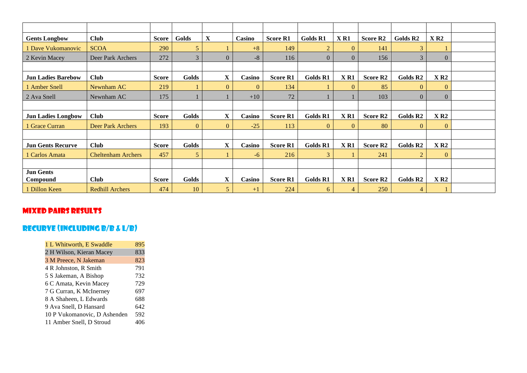| <b>Gents Longbow</b>         | <b>Club</b>               | <b>Score</b> | Golds          | $\mathbf X$    | Casino       | <b>Score R1</b> | <b>Golds R1</b> | X <sub>R1</sub> | <b>Score R2</b> | Golds R <sub>2</sub> | X R2           |  |
|------------------------------|---------------------------|--------------|----------------|----------------|--------------|-----------------|-----------------|-----------------|-----------------|----------------------|----------------|--|
| 1 Dave Vukomanovic           | <b>SCOA</b>               | 290          | 5              |                | $+8$         | 149             | $\overline{2}$  | $\overline{0}$  | 141             | 3                    |                |  |
| 2 Kevin Macey                | Deer Park Archers         | 272          | 3              | $\overline{0}$ | $-8$         | 116             | $\overline{0}$  | $\overline{0}$  | 156             |                      | $\Omega$       |  |
|                              |                           |              |                |                |              |                 |                 |                 |                 |                      |                |  |
| <b>Jun Ladies Barebow</b>    | <b>Club</b>               | <b>Score</b> | Golds          | $\mathbf{X}$   | Casino       | <b>Score R1</b> | <b>Golds R1</b> | X <sub>R1</sub> | <b>Score R2</b> | Golds R <sub>2</sub> | X R2           |  |
| 1 Amber Snell                | Newnham AC                | 219          |                | $\mathbf{0}$   | $\mathbf{0}$ | 134             |                 | $\overline{0}$  | 85              | $\overline{0}$       | $\mathbf{0}$   |  |
| 2 Ava Snell                  | Newnham AC                | 175          |                |                | $+10$        | 72              |                 |                 | 103             | $\Omega$             | $\Omega$       |  |
|                              |                           |              |                |                |              |                 |                 |                 |                 |                      |                |  |
| <b>Jun Ladies Longbow</b>    | <b>Club</b>               | <b>Score</b> | Golds          | $\mathbf{X}$   | Casino       | <b>Score R1</b> | Golds R1        | X <sub>R1</sub> | <b>Score R2</b> | Golds R <sub>2</sub> | X R2           |  |
| 1 Grace Curran               | <b>Deer Park Archers</b>  | 193          | $\overline{0}$ | $\mathbf{0}$   | $-25$        | 113             | $\mathbf{0}$    | $\overline{0}$  | 80              | $\overline{0}$       | $\overline{0}$ |  |
|                              |                           |              |                |                |              |                 |                 |                 |                 |                      |                |  |
| <b>Jun Gents Recurve</b>     | <b>Club</b>               | <b>Score</b> | Golds          | $\mathbf X$    | Casino       | <b>Score R1</b> | Golds R1        | X <sub>R1</sub> | <b>Score R2</b> | Golds R <sub>2</sub> | X R2           |  |
| 1 Carlos Amata               | <b>Cheltenham Archers</b> | 457          | 5              |                | $-6$         | 216             | 3               |                 | 241             | $\overline{2}$       | $\Omega$       |  |
|                              |                           |              |                |                |              |                 |                 |                 |                 |                      |                |  |
| <b>Jun Gents</b><br>Compound | <b>Club</b>               | <b>Score</b> | Golds          | $\mathbf X$    | Casino       | <b>Score R1</b> | Golds R1        | X <sub>R1</sub> | <b>Score R2</b> | Golds R <sub>2</sub> | X R2           |  |
| 1 Dillon Keen                | <b>Redhill Archers</b>    | 474          | 10             | 5              | $+1$         | 224             | 6               | $\overline{4}$  | 250             | $\overline{4}$       |                |  |

#### Mixed pairs results

#### Recurve (including b/b & l/B)

| 1 L Whitworth, E Swaddle     | 895 |
|------------------------------|-----|
| 2 H Wilson, Kieran Macey     | 833 |
| 3 M Preece, N Jakeman        | 823 |
| 4 R Johnston, R Smith        | 791 |
| 5 S Jakeman, A Bishop        | 732 |
| 6 C Amata, Kevin Macey       | 729 |
| 7 G Curran, K McInerney      | 697 |
| 8 A Shaheen, L Edwards       | 688 |
| 9 Ava Snell, D Hansard       | 642 |
| 10 P Vukomanovic, D Ashenden | 592 |
| 11 Amber Snell, D Stroud     |     |